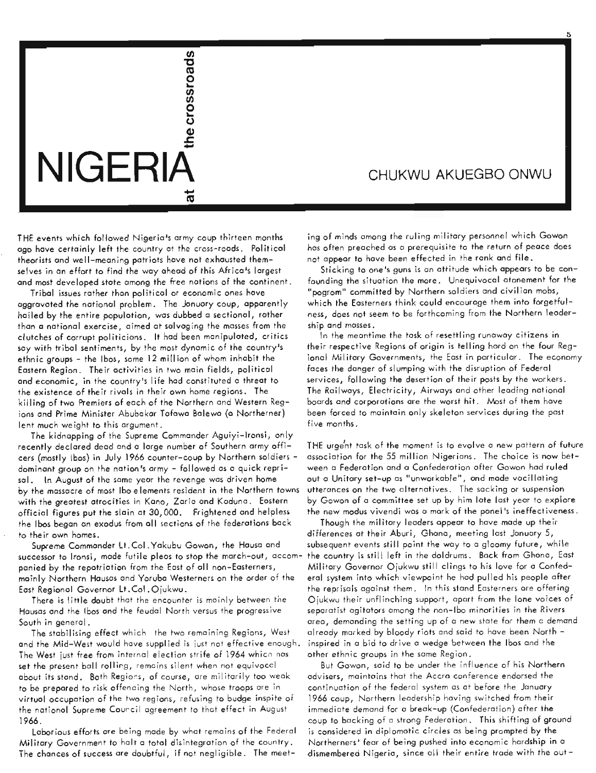## o o<br>he **NIGERIA**

THE events which followed Nigeria's army coup thirteen months ago have certainly left the country at the cross-roads. Political theorists and well-meaning patriots have not exhausted themselves in an effort to find the way ahead of this Africa's largest and most developed state among the free nations of the continent.

*en* -c ca o... *en en* o...

Tribal issues rather than pol itical or economic ones have aggravated the national problem. The January coup, apparently hailed by the entire population, was dubbed a sectional, rather than a national exercise, aimed at salvaging the masses from the clutches of corrupt politicians. It had been manipulated, critics say with tribal sentiments, by the most dynamic of the country's ethnic groups - the Ibos, some 12 million of whom inhabit the Eastern Region. Their activities in two main fields, political and economic, in the country's life had constituted a threat to the existence of the ir rivals in their own home regions. The killing of two Premiers of each of the Northern and Western Regions and Prime Minister Abubakar Tafawa Balewa (a Northerner) lent much weight to this argument.

The kidnapping of the Supreme Commander Aguiyi-Ironsi, only recently declared dead and a large number of Southern army officers (mostly Ibos) in July 1966 counter-coup by Northern soldiers dominant group on the nation's army - followed as a quick reprisal. In August of the same year the revenge was driven home by the massacre of most Ibo elements resident in the Northern towns with the greatest atrocities in Kano, Zaria and Kaduna. Eastern official figures put the slain at 30,000. Frightened and helpless the Ibos began an exodus from all sections of the federations back to their own homes.

Supreme Commander Lt. Col. Yakubu Gowon, the Hausa and successor to Ironsi, made futile pleas to stop the march-out, accompanied by the repatriation from the East of all non-Easterners, mainly Northern Hausas and Yoruba Westerners on the order of the East Regional Governor Lt.Col.Ojukwu.

There is little doubt that the encounter is mainly between the Hausas and the Ibos and the feudal North versus the progressive South in general.

The stabilising effect which the two remaining Regions, West and the Mid-West would have supplied is just not effective enough. The West just free from internal election strife of 1964 which has set the present ball rolling, remains silent when not equivocal about its stand. Both Regions, of course, are militarily too weak to be prepared to risk offending the North, whose troops are in virtual occupation of the two regions, refusing to budge inspite of the national Supreme Council agreement to that effect in August 1966.

Laborious efforts are being made by what remains of the Federal Military Government to halt a total disintegration of the country. The chances of success are doubtful, if not negligible. The meet-

## CHUKWU AKUEGBO ONWU

5

ing of minds among the ruling military personnel which Gowon has often preached as a prerequisite to the return of peace does not appear to have been effected in the rank and file.

Sticking to one's guns is an attitude which appears to be confounding the situation the more. Unequivocal atonement for the "pogrom" committed by Northern soldiers and civilian mobs, which the Easterners think could encourage them into forgetfulness, does not seem to be forthcoming from the Northern leadership and masses.

In the meantime the task of resettl ing runaway citizens in their respective Regions of origin is tell ing hard on the four Regional Military Governments, the East in particular. The economy faces the danger of slumping with the disruption of Federal services, following the desertion of their posts by the workers. The Railways, Electricity, Airways and other leading national boards and corporations are the worst hit. Most of them have been forced to maintain only skeleton services during the past five months.

THE urgent task of the moment is to evolve a new pattern of future association for the 55 million Nigerians. The choice is now between a Federation and a Confederation after Gowon hod ruled out a Unitary set-up as "unworkable" / and made vacillating utterances on the two alternatives. The sacking or suspension by Gowon of a committee set up by him late last year to explore the new modus vivendi was a mark of the panel's ineffectiveness.

Though the military leaders appear to have made up their differences at their Aburi, Ghana, meeting last January 5, subsequent events still point the way to a gloomy future, while the country is still left in the doldrums. Back from Ghona, East Military Governor Ojukwu still clings to his love for a Confederal system into which viewpoint he had pulled his people after the reprisals against them. In this stand Easterners are offering Ojukwu their unflinching support, apart from the lone voices of separatist agitators among the non-Ibo minorities in the Rivers area, demanding the setting up of a new state for them a demand already marked by bloody riots and said to have been North inspired in a bid to drive a wedge between the Ibos and the other ethnic groups in the same Region.

But Gowon, said to be under the infl uence of his Northern advisers, maintains that the Accra conference endorsed the continuation of the federal system as at before the January 1966 coup, Northern leadership having switched from their immediate demand for a break-up (Confederation) after the coup to backing of a strong Federation. This shifting of ground is considered in diplomatic circles as being prompted by the Northerners' fear of being pushed into economic hardship in a dismembered Nigeria, since all their entire trade with the out